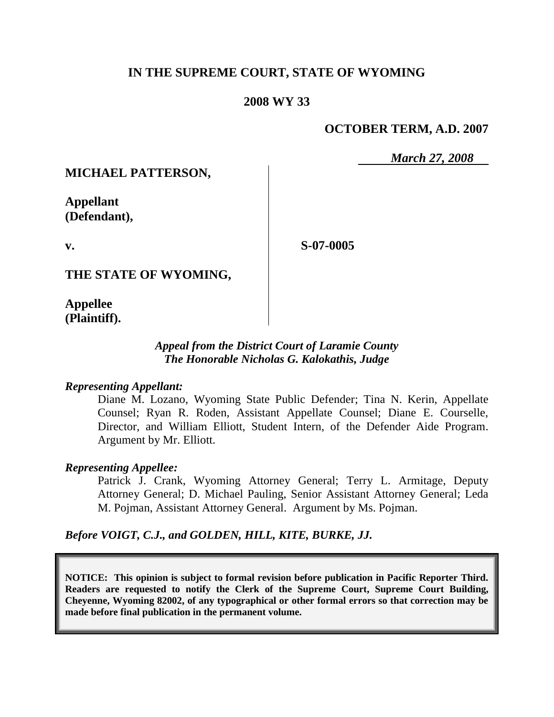## **IN THE SUPREME COURT, STATE OF WYOMING**

## **2008 WY 33**

## **OCTOBER TERM, A.D. 2007**

*March 27, 2008*

## **MICHAEL PATTERSON,**

**Appellant (Defendant),**

**S-07-0005**

**THE STATE OF WYOMING,**

**Appellee (Plaintiff).**

**v.**

## *Appeal from the District Court of Laramie County The Honorable Nicholas G. Kalokathis, Judge*

### *Representing Appellant:*

Diane M. Lozano, Wyoming State Public Defender; Tina N. Kerin, Appellate Counsel; Ryan R. Roden, Assistant Appellate Counsel; Diane E. Courselle, Director, and William Elliott, Student Intern, of the Defender Aide Program. Argument by Mr. Elliott.

### *Representing Appellee:*

Patrick J. Crank, Wyoming Attorney General; Terry L. Armitage, Deputy Attorney General; D. Michael Pauling, Senior Assistant Attorney General; Leda M. Pojman, Assistant Attorney General. Argument by Ms. Pojman.

*Before VOIGT, C.J., and GOLDEN, HILL, KITE, BURKE, JJ.*

**NOTICE: This opinion is subject to formal revision before publication in Pacific Reporter Third. Readers are requested to notify the Clerk of the Supreme Court, Supreme Court Building, Cheyenne, Wyoming 82002, of any typographical or other formal errors so that correction may be made before final publication in the permanent volume.**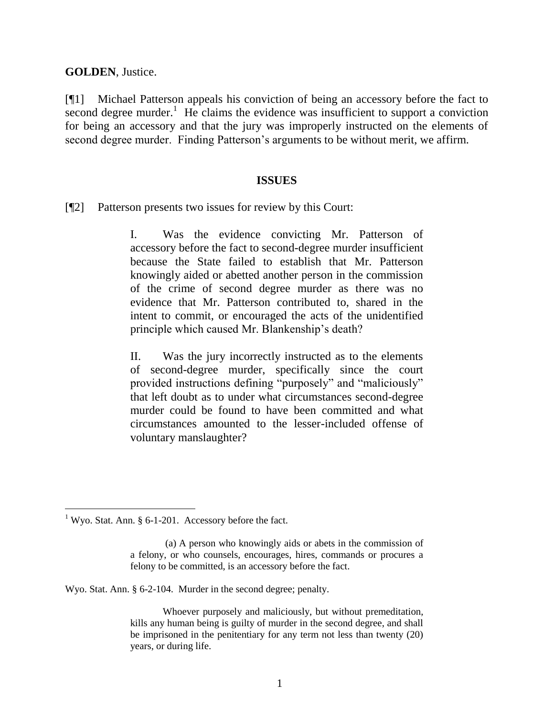**GOLDEN**, Justice.

[¶1] Michael Patterson appeals his conviction of being an accessory before the fact to  $\frac{1}{\sqrt{1-\frac{1}{\sqrt{1-\frac{1}{\sqrt{1-\frac{1}{\sqrt{1-\frac{1}{\sqrt{1-\frac{1}{\sqrt{1-\frac{1}{\sqrt{1-\frac{1}{\sqrt{1-\frac{1}{\sqrt{1-\frac{1}{\sqrt{1-\frac{1}{\sqrt{1-\frac{1}{\sqrt{1-\frac{1}{\sqrt{1-\frac{1}{\sqrt{1-\frac{1}{\sqrt{1-\frac{1}{\sqrt{1-\frac{1}{\sqrt{1-\frac{1}{\sqrt{1-\frac{1}{\sqrt{1-\frac{1}{\sqrt{1-\frac{1}{\sqrt{1-\frac{1}{\sqrt{1-\frac{1}{\sqrt{1-\frac{1}{\sqrt{1-\frac{1$ for being an accessory and that the jury was improperly instructed on the elements of second degree murder. Finding Patterson"s arguments to be without merit, we affirm.

#### **ISSUES**

[¶2] Patterson presents two issues for review by this Court:

I. Was the evidence convicting Mr. Patterson of accessory before the fact to second-degree murder insufficient because the State failed to establish that Mr. Patterson knowingly aided or abetted another person in the commission of the crime of second degree murder as there was no evidence that Mr. Patterson contributed to, shared in the intent to commit, or encouraged the acts of the unidentified principle which caused Mr. Blankenship"s death?

II. Was the jury incorrectly instructed as to the elements of second-degree murder, specifically since the court provided instructions defining "purposely" and "maliciously" that left doubt as to under what circumstances second-degree murder could be found to have been committed and what circumstances amounted to the lesser-included offense of voluntary manslaughter?

Wyo. Stat. Ann. § 6-2-104. Murder in the second degree; penalty.

Whoever purposely and maliciously, but without premeditation, kills any human being is guilty of murder in the second degree, and shall be imprisoned in the penitentiary for any term not less than twenty (20) years, or during life.

<sup>&</sup>lt;sup>1</sup> Wyo. Stat. Ann. § 6-1-201. Accessory before the fact.

<sup>(</sup>a) A person who knowingly aids or abets in the commission of a felony, or who counsels, encourages, hires, commands or procures a felony to be committed, is an accessory before the fact.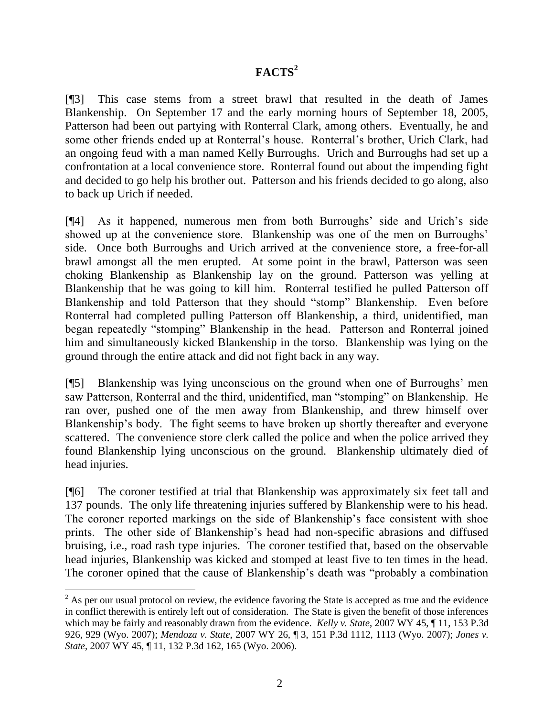# **FACTS<sup>2</sup>**

[¶3] This case stems from a street brawl that resulted in the death of James Blankenship. On September 17 and the early morning hours of September 18, 2005, Patterson had been out partying with Ronterral Clark, among others. Eventually, he and some other friends ended up at Ronterral"s house. Ronterral"s brother, Urich Clark, had an ongoing feud with a man named Kelly Burroughs. Urich and Burroughs had set up a confrontation at a local convenience store. Ronterral found out about the impending fight and decided to go help his brother out. Patterson and his friends decided to go along, also to back up Urich if needed.

[¶4] As it happened, numerous men from both Burroughs" side and Urich"s side showed up at the convenience store. Blankenship was one of the men on Burroughs' side. Once both Burroughs and Urich arrived at the convenience store, a free-for-all brawl amongst all the men erupted. At some point in the brawl, Patterson was seen choking Blankenship as Blankenship lay on the ground. Patterson was yelling at Blankenship that he was going to kill him. Ronterral testified he pulled Patterson off Blankenship and told Patterson that they should "stomp" Blankenship. Even before Ronterral had completed pulling Patterson off Blankenship, a third, unidentified, man began repeatedly "stomping" Blankenship in the head. Patterson and Ronterral joined him and simultaneously kicked Blankenship in the torso. Blankenship was lying on the ground through the entire attack and did not fight back in any way.

[¶5] Blankenship was lying unconscious on the ground when one of Burroughs" men saw Patterson, Ronterral and the third, unidentified, man "stomping" on Blankenship. He ran over, pushed one of the men away from Blankenship, and threw himself over Blankenship's body. The fight seems to have broken up shortly thereafter and everyone scattered. The convenience store clerk called the police and when the police arrived they found Blankenship lying unconscious on the ground. Blankenship ultimately died of head injuries.

[¶6] The coroner testified at trial that Blankenship was approximately six feet tall and 137 pounds. The only life threatening injuries suffered by Blankenship were to his head. The coroner reported markings on the side of Blankenship"s face consistent with shoe prints. The other side of Blankenship"s head had non-specific abrasions and diffused bruising, i.e., road rash type injuries. The coroner testified that, based on the observable head injuries, Blankenship was kicked and stomped at least five to ten times in the head. The coroner opined that the cause of Blankenship's death was "probably a combination

 $2$  As per our usual protocol on review, the evidence favoring the State is accepted as true and the evidence in conflict therewith is entirely left out of consideration. The State is given the benefit of those inferences which may be fairly and reasonably drawn from the evidence. *Kelly v. State*, 2007 WY 45, ¶ 11, 153 P.3d 926, 929 (Wyo. 2007); *Mendoza v. State*, 2007 WY 26, ¶ 3, 151 P.3d 1112, 1113 (Wyo. 2007); *Jones v. State*, 2007 WY 45, ¶ 11, 132 P.3d 162, 165 (Wyo. 2006).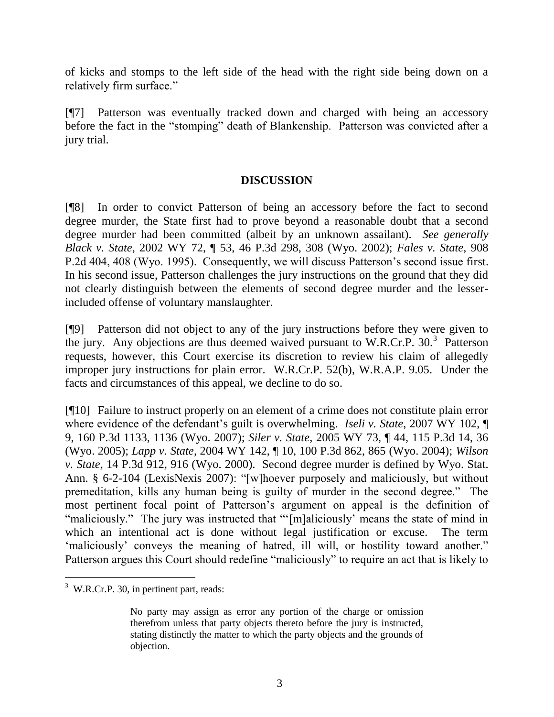of kicks and stomps to the left side of the head with the right side being down on a relatively firm surface."

[¶7] Patterson was eventually tracked down and charged with being an accessory before the fact in the "stomping" death of Blankenship. Patterson was convicted after a jury trial.

## **DISCUSSION**

[¶8] In order to convict Patterson of being an accessory before the fact to second degree murder, the State first had to prove beyond a reasonable doubt that a second degree murder had been committed (albeit by an unknown assailant). *See generally Black v. State*, 2002 WY 72, ¶ 53, 46 P.3d 298, 308 (Wyo. 2002); *Fales v. State*, 908 P.2d 404, 408 (Wyo. 1995). Consequently, we will discuss Patterson"s second issue first. In his second issue, Patterson challenges the jury instructions on the ground that they did not clearly distinguish between the elements of second degree murder and the lesserincluded offense of voluntary manslaughter.

[¶9] Patterson did not object to any of the jury instructions before they were given to the jury. Any objections are thus deemed waived pursuant to W.R.Cr.P. 30.<sup>3</sup> Patterson requests, however, this Court exercise its discretion to review his claim of allegedly improper jury instructions for plain error. W.R.Cr.P. 52(b), W.R.A.P. 9.05. Under the facts and circumstances of this appeal, we decline to do so.

[¶10] Failure to instruct properly on an element of a crime does not constitute plain error where evidence of the defendant's guilt is overwhelming. *Iseli v. State*, 2007 WY 102, 9, 160 P.3d 1133, 1136 (Wyo. 2007); *Siler v. State*, 2005 WY 73, ¶ 44, 115 P.3d 14, 36 (Wyo. 2005); *Lapp v. State*, 2004 WY 142, ¶ 10, 100 P.3d 862, 865 (Wyo. 2004); *Wilson v. State*, 14 P.3d 912, 916 (Wyo. 2000). Second degree murder is defined by Wyo. Stat. Ann. § 6-2-104 (LexisNexis 2007): "[w]hoever purposely and maliciously, but without premeditation, kills any human being is guilty of murder in the second degree." The most pertinent focal point of Patterson"s argument on appeal is the definition of "maliciously." The jury was instructed that ""[m]aliciously' means the state of mind in which an intentional act is done without legal justification or excuse. The term 'maliciously' conveys the meaning of hatred, ill will, or hostility toward another." Patterson argues this Court should redefine "maliciously" to require an act that is likely to

 $\overline{a}$ 

 $3$  W.R.Cr.P. 30, in pertinent part, reads:

No party may assign as error any portion of the charge or omission therefrom unless that party objects thereto before the jury is instructed, stating distinctly the matter to which the party objects and the grounds of objection.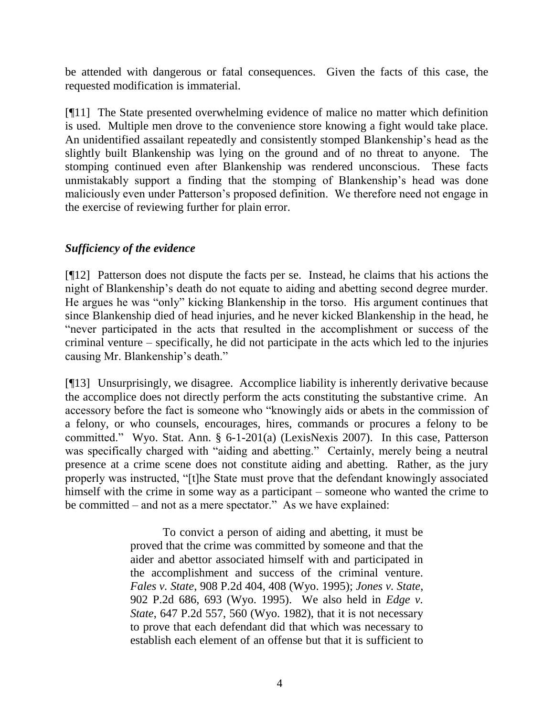be attended with dangerous or fatal consequences. Given the facts of this case, the requested modification is immaterial.

[¶11] The State presented overwhelming evidence of malice no matter which definition is used. Multiple men drove to the convenience store knowing a fight would take place. An unidentified assailant repeatedly and consistently stomped Blankenship"s head as the slightly built Blankenship was lying on the ground and of no threat to anyone. The stomping continued even after Blankenship was rendered unconscious. These facts unmistakably support a finding that the stomping of Blankenship"s head was done maliciously even under Patterson"s proposed definition. We therefore need not engage in the exercise of reviewing further for plain error.

## *Sufficiency of the evidence*

[¶12] Patterson does not dispute the facts per se. Instead, he claims that his actions the night of Blankenship"s death do not equate to aiding and abetting second degree murder. He argues he was "only" kicking Blankenship in the torso. His argument continues that since Blankenship died of head injuries, and he never kicked Blankenship in the head, he "never participated in the acts that resulted in the accomplishment or success of the criminal venture – specifically, he did not participate in the acts which led to the injuries causing Mr. Blankenship"s death."

[¶13] Unsurprisingly, we disagree. Accomplice liability is inherently derivative because the accomplice does not directly perform the acts constituting the substantive crime. An accessory before the fact is someone who "knowingly aids or abets in the commission of a felony, or who counsels, encourages, hires, commands or procures a felony to be committed." Wyo. Stat. Ann. § 6-1-201(a) (LexisNexis 2007). In this case, Patterson was specifically charged with "aiding and abetting." Certainly, merely being a neutral presence at a crime scene does not constitute aiding and abetting. Rather, as the jury properly was instructed, "[t]he State must prove that the defendant knowingly associated himself with the crime in some way as a participant – someone who wanted the crime to be committed – and not as a mere spectator." As we have explained:

> To convict a person of aiding and abetting, it must be proved that the crime was committed by someone and that the aider and abettor associated himself with and participated in the accomplishment and success of the criminal venture. *Fales v. State*, 908 P.2d 404, 408 (Wyo. 1995); *Jones v. State*, 902 P.2d 686, 693 (Wyo. 1995). We also held in *Edge v. State*, 647 P.2d 557, 560 (Wyo. 1982), that it is not necessary to prove that each defendant did that which was necessary to establish each element of an offense but that it is sufficient to